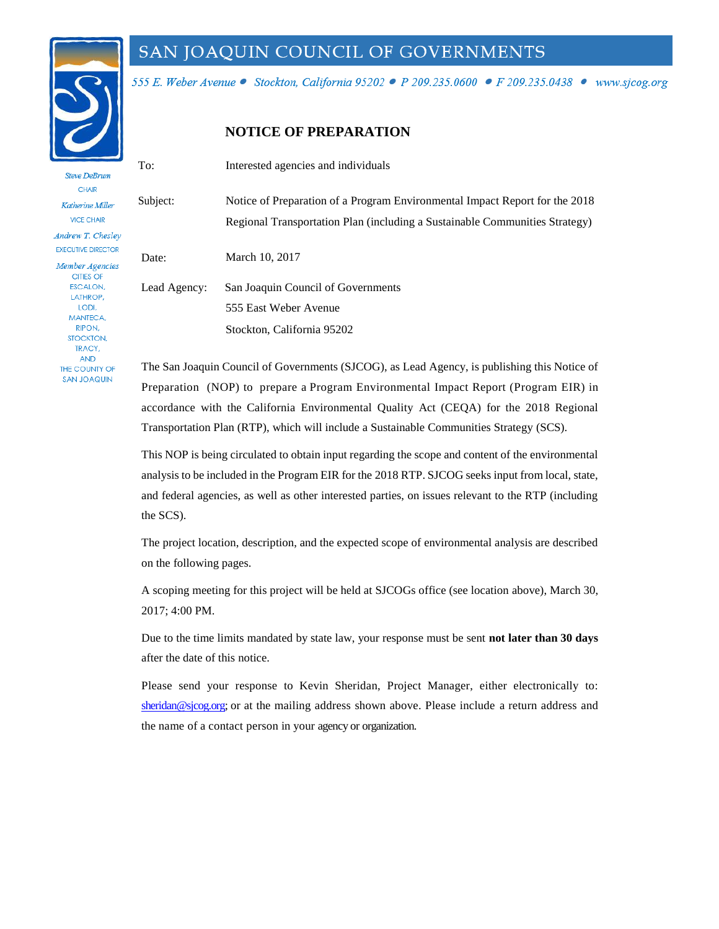

THE COUNTY OF **SAN JOAQUIN** 

## SAN JOAQUIN COUNCIL OF GOVERNMENTS

555 E. Weber Avenue · Stockton, California 95202 · P 209.235.0600 · F 209.235.0438 · www.sjcog.org

#### **NOTICE OF PREPARATION**

To: Interested agencies and individuals **Steve DeBrum CHAIR** Subject: Notice of Preparation of a Program Environmental Impact Report for the 2018 Katherine Miller **VICE CHAIR** Regional Transportation Plan (including a Sustainable Communities Strategy) Andrew T. Chesley **EXECUTIVE DIRECTOR** Date: March 10, 2017 Member Agencies CITIES OF **FSCALON.** Lead Agency: San Joaquin Council of Governments LATHROP, LODI, 555 East Weber Avenue **MANTECA RIPON.** Stockton, California 95202 STOCKTON, TRACY. **AND** 

The San Joaquin Council of Governments (SJCOG), as Lead Agency, is publishing this Notice of Preparation (NOP) to prepare a Program Environmental Impact Report (Program EIR) in accordance with the California Environmental Quality Act (CEQA) for the 2018 Regional Transportation Plan (RTP), which will include a Sustainable Communities Strategy (SCS).

This NOP is being circulated to obtain input regarding the scope and content of the environmental analysis to be included in the Program EIR for the 2018 RTP. SJCOG seeks input from local, state, and federal agencies, as well as other interested parties, on issues relevant to the RTP (including the SCS).

The project location, description, and the expected scope of environmental analysis are described on the following pages.

A scoping meeting for this project will be held at SJCOGs office (see location above), March 30, 2017; 4:00 PM.

Due to the time limits mandated by state law, your response must be sent **not later than 30 days**  after the date of this notice.

[Please send](mailto:hoyt@sjcog.org) your response to Kevin Sheridan, Project Manager, either electronically to: sheridan@sjcog.org; or at the mailing address shown above. Please include a return address and the name of a contact person in your agency or organization.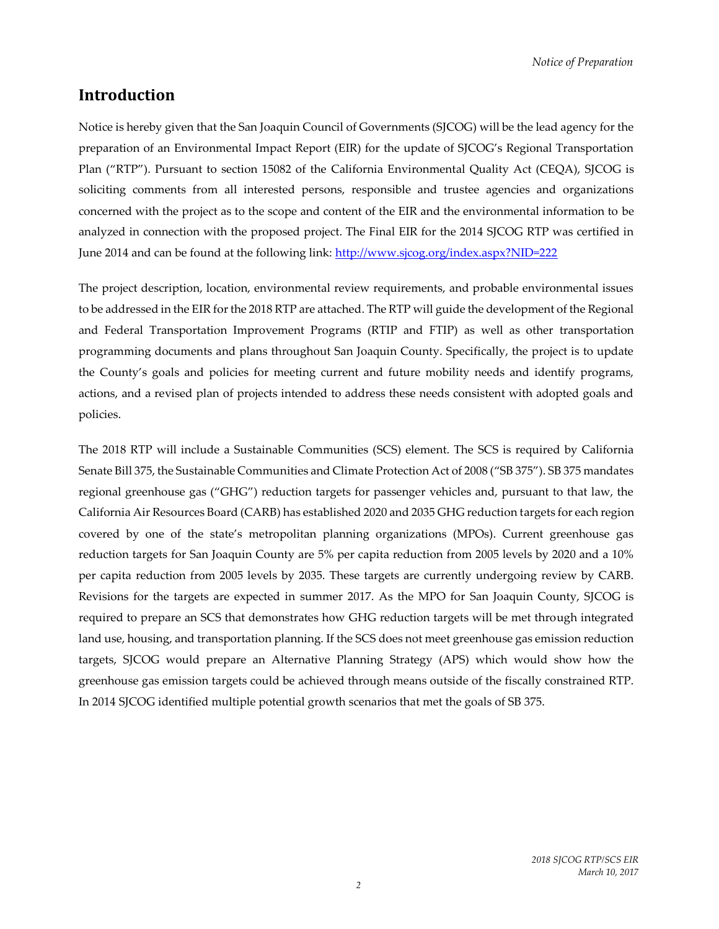## **Introduction**

Notice is hereby given that the San Joaquin Council of Governments (SJCOG) will be the lead agency for the preparation of an Environmental Impact Report (EIR) for the update of SJCOG's Regional Transportation Plan ("RTP"). Pursuant to section 15082 of the California Environmental Quality Act (CEQA), SJCOG is soliciting comments from all interested persons, responsible and trustee agencies and organizations concerned with the project as to the scope and content of the EIR and the environmental information to be analyzed in connection with the proposed project. The Final EIR for the 2014 SJCOG RTP was certified in June 2014 and can be found at the following link:<http://www.sjcog.org/index.aspx?NID=222>

The project description, location, environmental review requirements, and probable environmental issues to be addressed in the EIR for the 2018 RTP are attached. The RTP will guide the development of the Regional and Federal Transportation Improvement Programs (RTIP and FTIP) as well as other transportation programming documents and plans throughout San Joaquin County. Specifically, the project is to update the County's goals and policies for meeting current and future mobility needs and identify programs, actions, and a revised plan of projects intended to address these needs consistent with adopted goals and policies.

The 2018 RTP will include a Sustainable Communities (SCS) element. The SCS is required by California Senate Bill 375, the Sustainable Communities and Climate Protection Act of 2008 ("SB 375"). SB 375 mandates regional greenhouse gas ("GHG") reduction targets for passenger vehicles and, pursuant to that law, the California Air Resources Board (CARB) has established 2020 and 2035 GHG reduction targets for each region covered by one of the state's metropolitan planning organizations (MPOs). Current greenhouse gas reduction targets for San Joaquin County are 5% per capita reduction from 2005 levels by 2020 and a 10% per capita reduction from 2005 levels by 2035. These targets are currently undergoing review by CARB. Revisions for the targets are expected in summer 2017. As the MPO for San Joaquin County, SJCOG is required to prepare an SCS that demonstrates how GHG reduction targets will be met through integrated land use, housing, and transportation planning. If the SCS does not meet greenhouse gas emission reduction targets, SJCOG would prepare an Alternative Planning Strategy (APS) which would show how the greenhouse gas emission targets could be achieved through means outside of the fiscally constrained RTP. In 2014 SJCOG identified multiple potential growth scenarios that met the goals of SB 375.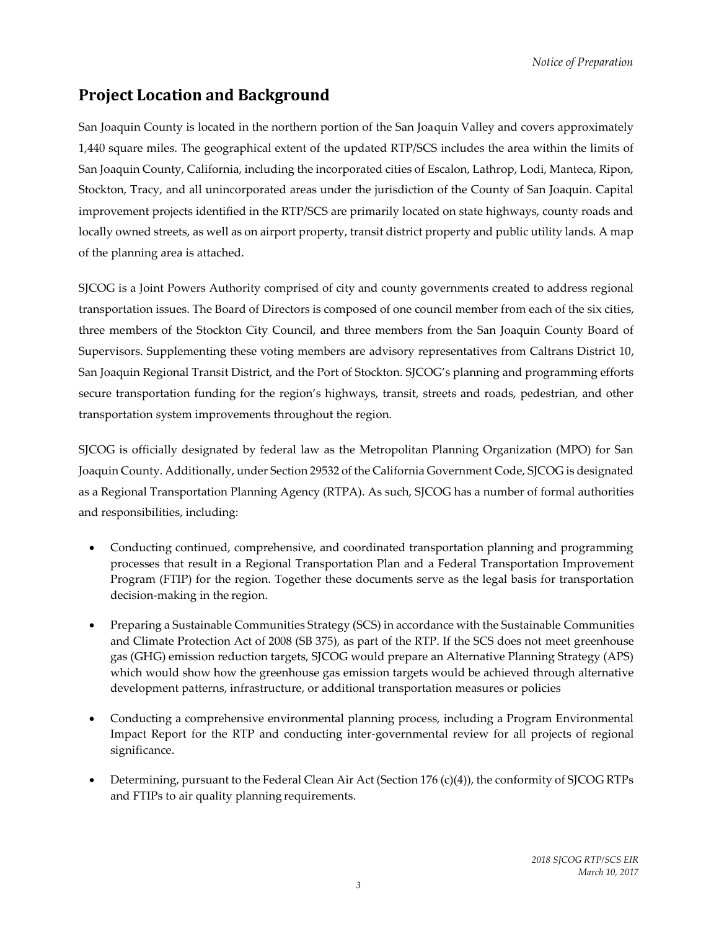# **Project Location and Background**

San Joaquin County is located in the northern portion of the San Joaquin Valley and covers approximately 1,440 square miles. The geographical extent of the updated RTP/SCS includes the area within the limits of San Joaquin County, California, including the incorporated cities of Escalon, Lathrop, Lodi, Manteca, Ripon, Stockton, Tracy, and all unincorporated areas under the jurisdiction of the County of San Joaquin. Capital improvement projects identified in the RTP/SCS are primarily located on state highways, county roads and locally owned streets, as well as on airport property, transit district property and public utility lands. A map of the planning area is attached.

SJCOG is a Joint Powers Authority comprised of city and county governments created to address regional transportation issues. The Board of Directors is composed of one council member from each of the six cities, three members of the Stockton City Council, and three members from the San Joaquin County Board of Supervisors. Supplementing these voting members are advisory representatives from Caltrans District 10, San Joaquin Regional Transit District, and the Port of Stockton. SJCOG's planning and programming efforts secure transportation funding for the region's highways, transit, streets and roads, pedestrian, and other transportation system improvements throughout the region.

SJCOG is officially designated by federal law as the Metropolitan Planning Organization (MPO) for San Joaquin County. Additionally, under Section 29532 of the California Government Code, SJCOG is designated as a Regional Transportation Planning Agency (RTPA). As such, SJCOG has a number of formal authorities and responsibilities, including:

- Conducting continued, comprehensive, and coordinated transportation planning and programming processes that result in a Regional Transportation Plan and a Federal Transportation Improvement Program (FTIP) for the region. Together these documents serve as the legal basis for transportation decision-making in the region.
- Preparing a Sustainable Communities Strategy (SCS) in accordance with the Sustainable Communities and Climate Protection Act of 2008 (SB 375), as part of the RTP. If the SCS does not meet greenhouse gas (GHG) emission reduction targets, SJCOG would prepare an Alternative Planning Strategy (APS) which would show how the greenhouse gas emission targets would be achieved through alternative development patterns, infrastructure, or additional transportation measures or policies
- Conducting a comprehensive environmental planning process, including a Program Environmental Impact Report for the RTP and conducting inter-governmental review for all projects of regional significance.
- Determining, pursuant to the Federal Clean Air Act (Section 176 (c)(4)), the conformity of SJCOG RTPs and FTIPs to air quality planning requirements.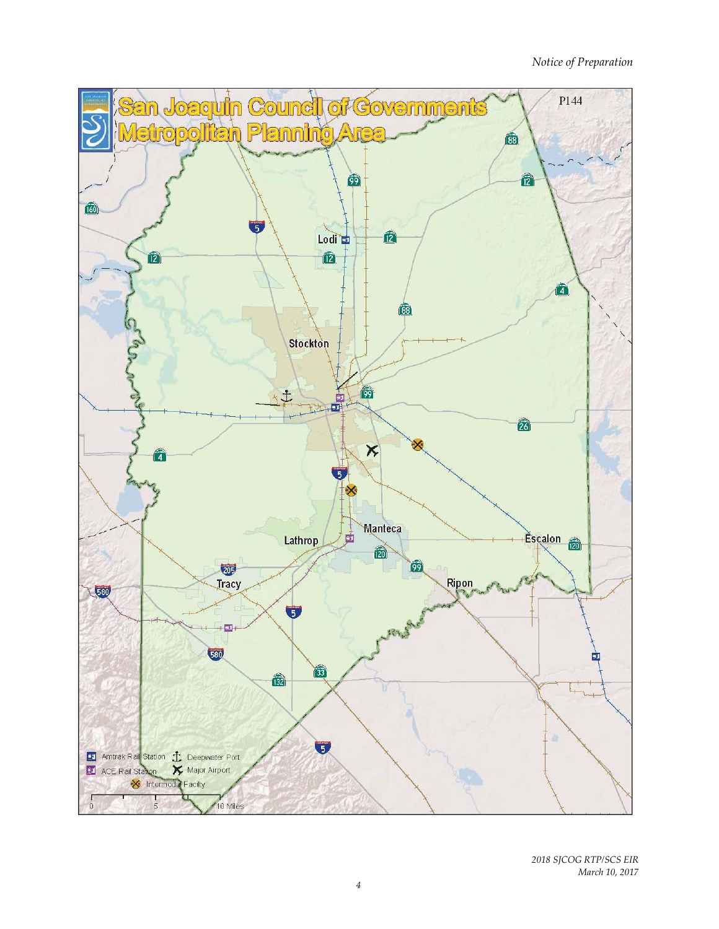*Notice of Preparation*



*2018 SJCOG RTP/SCS EIR March 10, 2017*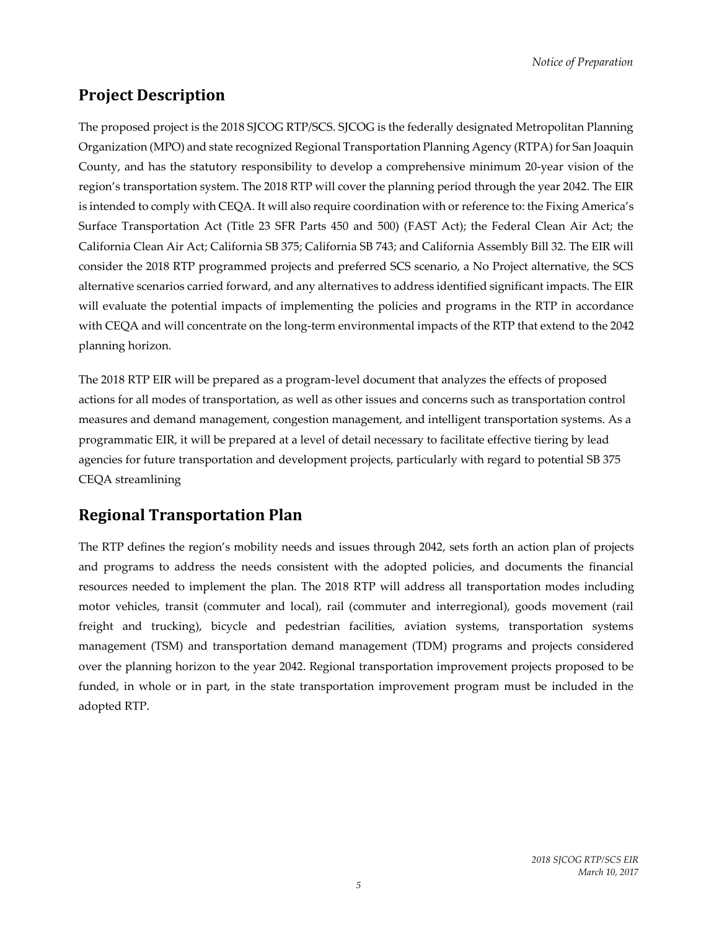# **Project Description**

The proposed project is the 2018 SJCOG RTP/SCS. SJCOG is the federally designated Metropolitan Planning Organization (MPO) and state recognized Regional Transportation Planning Agency (RTPA) for San Joaquin County, and has the statutory responsibility to develop a comprehensive minimum 20‐year vision of the region's transportation system. The 2018 RTP will cover the planning period through the year 2042. The EIR is intended to comply with CEQA. It will also require coordination with or reference to: the Fixing America's Surface Transportation Act (Title 23 SFR Parts 450 and 500) (FAST Act); the Federal Clean Air Act; the California Clean Air Act; California SB 375; California SB 743; and California Assembly Bill 32. The EIR will consider the 2018 RTP programmed projects and preferred SCS scenario, a No Project alternative, the SCS alternative scenarios carried forward, and any alternatives to address identified significant impacts. The EIR will evaluate the potential impacts of implementing the policies and programs in the RTP in accordance with CEQA and will concentrate on the long-term environmental impacts of the RTP that extend to the 2042 planning horizon.

The 2018 RTP EIR will be prepared as a program-level document that analyzes the effects of proposed actions for all modes of transportation, as well as other issues and concerns such as transportation control measures and demand management, congestion management, and intelligent transportation systems. As a programmatic EIR, it will be prepared at a level of detail necessary to facilitate effective tiering by lead agencies for future transportation and development projects, particularly with regard to potential SB 375 CEQA streamlining

# **Regional Transportation Plan**

The RTP defines the region's mobility needs and issues through 2042, sets forth an action plan of projects and programs to address the needs consistent with the adopted policies, and documents the financial resources needed to implement the plan. The 2018 RTP will address all transportation modes including motor vehicles, transit (commuter and local), rail (commuter and interregional), goods movement (rail freight and trucking), bicycle and pedestrian facilities, aviation systems, transportation systems management (TSM) and transportation demand management (TDM) programs and projects considered over the planning horizon to the year 2042. Regional transportation improvement projects proposed to be funded, in whole or in part, in the state transportation improvement program must be included in the adopted RTP.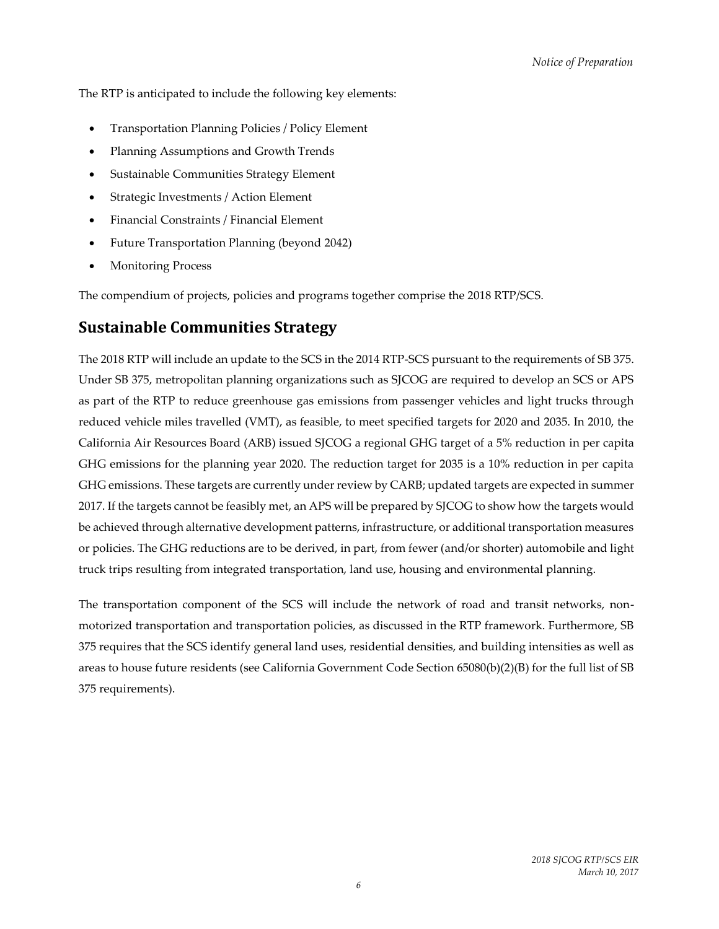The RTP is anticipated to include the following key elements:

- Transportation Planning Policies / Policy Element
- Planning Assumptions and Growth Trends
- Sustainable Communities Strategy Element
- Strategic Investments / Action Element
- Financial Constraints / Financial Element
- Future Transportation Planning (beyond 2042)
- Monitoring Process

The compendium of projects, policies and programs together comprise the 2018 RTP/SCS.

#### **Sustainable Communities Strategy**

The 2018 RTP will include an update to the SCS in the 2014 RTP-SCS pursuant to the requirements of SB 375. Under SB 375, metropolitan planning organizations such as SJCOG are required to develop an SCS or APS as part of the RTP to reduce greenhouse gas emissions from passenger vehicles and light trucks through reduced vehicle miles travelled (VMT), as feasible, to meet specified targets for 2020 and 2035. In 2010, the California Air Resources Board (ARB) issued SJCOG a regional GHG target of a 5% reduction in per capita GHG emissions for the planning year 2020. The reduction target for 2035 is a 10% reduction in per capita GHG emissions. These targets are currently under review by CARB; updated targets are expected in summer 2017. If the targets cannot be feasibly met, an APS will be prepared by SJCOG to show how the targets would be achieved through alternative development patterns, infrastructure, or additional transportation measures or policies. The GHG reductions are to be derived, in part, from fewer (and/or shorter) automobile and light truck trips resulting from integrated transportation, land use, housing and environmental planning.

The transportation component of the SCS will include the network of road and transit networks, nonmotorized transportation and transportation policies, as discussed in the RTP framework. Furthermore, SB 375 requires that the SCS identify general land uses, residential densities, and building intensities as well as areas to house future residents (see California Government Code Section 65080(b)(2)(B) for the full list of SB 375 requirements).